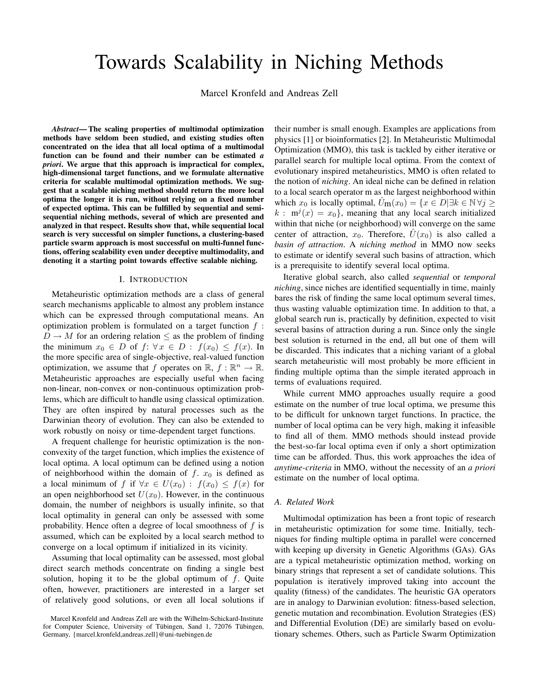# Towards Scalability in Niching Methods

Marcel Kronfeld and Andreas Zell

*Abstract***— The scaling properties of multimodal optimization methods have seldom been studied, and existing studies often concentrated on the idea that all local optima of a multimodal function can be found and their number can be estimated** *a priori***. We argue that this approach is impractical for complex, high-dimensional target functions, and we formulate alternative criteria for scalable multimodal optimization methods. We suggest that a scalable niching method should return the more local optima the longer it is run, without relying on a fixed number of expected optima. This can be fulfilled by sequential and semisequential niching methods, several of which are presented and analyzed in that respect. Results show that, while sequential local search is very successful on simpler functions, a clustering-based particle swarm approach is most successful on multi-funnel functions, offering scalability even under deceptive multimodality, and denoting it a starting point towards effective scalable niching.**

#### I. INTRODUCTION

Metaheuristic optimization methods are a class of general search mechanisms applicable to almost any problem instance which can be expressed through computational means. An optimization problem is formulated on a target function  $f$ :  $D \to M$  for an ordering relation  $\leq$  as the problem of finding the minimum  $x_0 \in D$  of  $f: \forall x \in D: f(x_0) \leq f(x)$ . In the more specific area of single-objective, real-valued function optimization, we assume that f operates on  $\mathbb{R}$ ,  $f : \mathbb{R}^n \to \mathbb{R}$ . Metaheuristic approaches are especially useful when facing non-linear, non-convex or non-continuous optimization problems, which are difficult to handle using classical optimization. They are often inspired by natural processes such as the Darwinian theory of evolution. They can also be extended to work robustly on noisy or time-dependent target functions.

A frequent challenge for heuristic optimization is the nonconvexity of the target function, which implies the existence of local optima. A local optimum can be defined using a notion of neighborhood within the domain of  $f(x_0)$  is defined as a local minimum of f if  $\forall x \in U(x_0) : f(x_0) \leq f(x)$  for an open neighborhood set  $U(x_0)$ . However, in the continuous domain, the number of neighbors is usually infinite, so that local optimality in general can only be assessed with some probability. Hence often a degree of local smoothness of  $f$  is assumed, which can be exploited by a local search method to converge on a local optimum if initialized in its vicinity.

Assuming that local optimality can be assessed, most global direct search methods concentrate on finding a single best solution, hoping it to be the global optimum of  $f$ . Quite often, however, practitioners are interested in a larger set of relatively good solutions, or even all local solutions if

their number is small enough. Examples are applications from physics [1] or bioinformatics [2]. In Metaheuristic Multimodal Optimization (MMO), this task is tackled by either iterative or parallel search for multiple local optima. From the context of evolutionary inspired metaheuristics, MMO is often related to the notion of *niching*. An ideal niche can be defined in relation to a local search operator m as the largest neighborhood within which  $x_0$  is locally optimal,  $\hat{U}_{m}(x_0) = \{x \in D | \exists k \in \mathbb{N} \forall j \geq 1\}$  $k: \mathbf{m}^{j}(x) = x_0$ , meaning that any local search initialized within that niche (or neighborhood) will converge on the same center of attraction,  $x_0$ . Therefore,  $U(x_0)$  is also called a *basin of attraction*. A *niching method* in MMO now seeks to estimate or identify several such basins of attraction, which is a prerequisite to identify several local optima.

Iterative global search, also called *sequential* or *temporal niching*, since niches are identified sequentially in time, mainly bares the risk of finding the same local optimum several times, thus wasting valuable optimization time. In addition to that, a global search run is, practically by definition, expected to visit several basins of attraction during a run. Since only the single best solution is returned in the end, all but one of them will be discarded. This indicates that a niching variant of a global search metaheuristic will most probably be more efficient in finding multiple optima than the simple iterated approach in terms of evaluations required.

While current MMO approaches usually require a good estimate on the number of true local optima, we presume this to be difficult for unknown target functions. In practice, the number of local optima can be very high, making it infeasible to find all of them. MMO methods should instead provide the best-so-far local optima even if only a short optimization time can be afforded. Thus, this work approaches the idea of *anytime-criteria* in MMO, without the necessity of an *a priori* estimate on the number of local optima.

## *A. Related Work*

Multimodal optimization has been a front topic of research in metaheuristic optimization for some time. Initially, techniques for finding multiple optima in parallel were concerned with keeping up diversity in Genetic Algorithms (GAs). GAs are a typical metaheuristic optimization method, working on binary strings that represent a set of candidate solutions. This population is iteratively improved taking into account the quality (fitness) of the candidates. The heuristic GA operators are in analogy to Darwinian evolution: fitness-based selection, genetic mutation and recombination. Evolution Strategies (ES) and Differential Evolution (DE) are similarly based on evolutionary schemes. Others, such as Particle Swarm Optimization

Marcel Kronfeld and Andreas Zell are with the Wilhelm-Schickard-Institute for Computer Science, University of Tübingen, Sand 1, 72076 Tübingen, Germany, {marcel.kronfeld,andreas.zell}@uni-tuebingen.de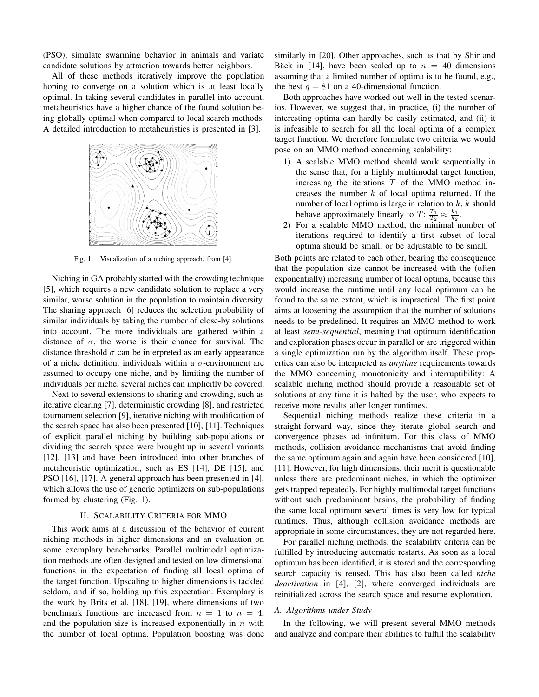(PSO), simulate swarming behavior in animals and variate candidate solutions by attraction towards better neighbors.

All of these methods iteratively improve the population hoping to converge on a solution which is at least locally optimal. In taking several candidates in parallel into account, metaheuristics have a higher chance of the found solution being globally optimal when compared to local search methods. A detailed introduction to metaheuristics is presented in [3].



Fig. 1. Visualization of a niching approach, from [4].

Niching in GA probably started with the crowding technique [5], which requires a new candidate solution to replace a very similar, worse solution in the population to maintain diversity. The sharing approach [6] reduces the selection probability of similar individuals by taking the number of close-by solutions into account. The more individuals are gathered within a distance of  $\sigma$ , the worse is their chance for survival. The distance threshold  $\sigma$  can be interpreted as an early appearance of a niche definition: individuals within a  $\sigma$ -environment are assumed to occupy one niche, and by limiting the number of individuals per niche, several niches can implicitly be covered.

Next to several extensions to sharing and crowding, such as iterative clearing [7], deterministic crowding [8], and restricted tournament selection [9], iterative niching with modification of the search space has also been presented [10], [11]. Techniques of explicit parallel niching by building sub-populations or dividing the search space were brought up in several variants [12], [13] and have been introduced into other branches of metaheuristic optimization, such as ES [14], DE [15], and PSO [16], [17]. A general approach has been presented in [4], which allows the use of generic optimizers on sub-populations formed by clustering (Fig. 1).

## II. SCALABILITY CRITERIA FOR MMO

This work aims at a discussion of the behavior of current niching methods in higher dimensions and an evaluation on some exemplary benchmarks. Parallel multimodal optimization methods are often designed and tested on low dimensional functions in the expectation of finding all local optima of the target function. Upscaling to higher dimensions is tackled seldom, and if so, holding up this expectation. Exemplary is the work by Brits et al. [18], [19], where dimensions of two benchmark functions are increased from  $n = 1$  to  $n = 4$ , and the population size is increased exponentially in  $n$  with the number of local optima. Population boosting was done similarly in [20]. Other approaches, such as that by Shir and Bäck in [14], have been scaled up to  $n = 40$  dimensions assuming that a limited number of optima is to be found, e.g., the best  $q = 81$  on a 40-dimensional function.

Both approaches have worked out well in the tested scenarios. However, we suggest that, in practice, (i) the number of interesting optima can hardly be easily estimated, and (ii) it is infeasible to search for all the local optima of a complex target function. We therefore formulate two criteria we would pose on an MMO method concerning scalability:

- 1) A scalable MMO method should work sequentially in the sense that, for a highly multimodal target function, increasing the iterations  $T$  of the MMO method increases the number  $k$  of local optima returned. If the number of local optima is large in relation to  $k, k$  should behave approximately linearly to  $T: \frac{T_1}{T_2} \approx \frac{k_1}{k_2}$ .
- 2) For a scalable MMO method, the minimal number of iterations required to identify a first subset of local optima should be small, or be adjustable to be small.

Both points are related to each other, bearing the consequence that the population size cannot be increased with the (often exponentially) increasing number of local optima, because this would increase the runtime until any local optimum can be found to the same extent, which is impractical. The first point aims at loosening the assumption that the number of solutions needs to be predefined. It requires an MMO method to work at least *semi-sequential*, meaning that optimum identification and exploration phases occur in parallel or are triggered within a single optimization run by the algorithm itself. These properties can also be interpreted as *anytime* requirements towards the MMO concerning monotonicity and interruptibility: A scalable niching method should provide a reasonable set of solutions at any time it is halted by the user, who expects to receive more results after longer runtimes.

Sequential niching methods realize these criteria in a straight-forward way, since they iterate global search and convergence phases ad infinitum. For this class of MMO methods, collision avoidance mechanisms that avoid finding the same optimum again and again have been considered [10], [11]. However, for high dimensions, their merit is questionable unless there are predominant niches, in which the optimizer gets trapped repeatedly. For highly multimodal target functions without such predominant basins, the probability of finding the same local optimum several times is very low for typical runtimes. Thus, although collision avoidance methods are appropriate in some circumstances, they are not regarded here.

For parallel niching methods, the scalability criteria can be fulfilled by introducing automatic restarts. As soon as a local optimum has been identified, it is stored and the corresponding search capacity is reused. This has also been called *niche deactivation* in [4], [2], where converged individuals are reinitialized across the search space and resume exploration.

## *A. Algorithms under Study*

In the following, we will present several MMO methods and analyze and compare their abilities to fulfill the scalability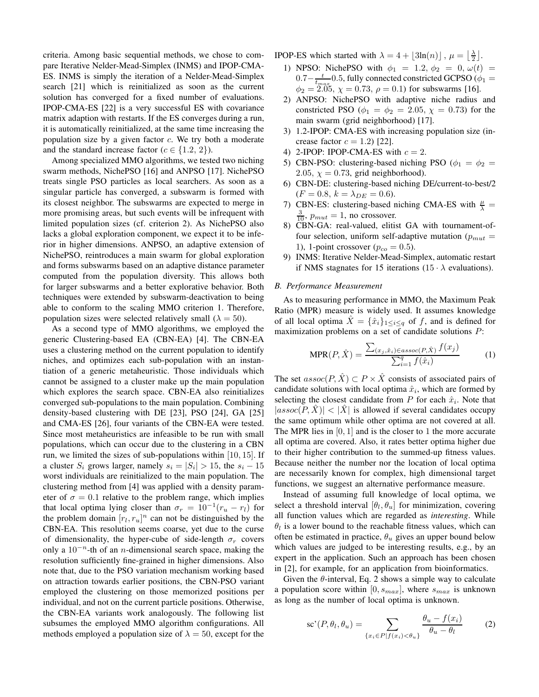criteria. Among basic sequential methods, we chose to compare Iterative Nelder-Mead-Simplex (INMS) and IPOP-CMA-ES. INMS is simply the iteration of a Nelder-Mead-Simplex search [21] which is reinitialized as soon as the current solution has converged for a fixed number of evaluations. IPOP-CMA-ES [22] is a very successful ES with covariance matrix adaption with restarts. If the ES converges during a run, it is automatically reinitialized, at the same time increasing the population size by a given factor  $c$ . We try both a moderate and the standard increase factor ( $c \in \{1.2, 2\}$ ).

Among specialized MMO algorithms, we tested two niching swarm methods, NichePSO [16] and ANPSO [17]. NichePSO treats single PSO particles as local searchers. As soon as a singular particle has converged, a subswarm is formed with its closest neighbor. The subswarms are expected to merge in more promising areas, but such events will be infrequent with limited population sizes (cf. criterion 2). As NichePSO also lacks a global exploration component, we expect it to be inferior in higher dimensions. ANPSO, an adaptive extension of NichePSO, reintroduces a main swarm for global exploration and forms subswarms based on an adaptive distance parameter computed from the population diversity. This allows both for larger subswarms and a better explorative behavior. Both techniques were extended by subswarm-deactivation to being able to conform to the scaling MMO criterion 1. Therefore, population sizes were selected relatively small ( $\lambda = 50$ ).

As a second type of MMO algorithms, we employed the generic Clustering-based EA (CBN-EA) [4]. The CBN-EA uses a clustering method on the current population to identify niches, and optimizes each sub-population with an instantiation of a generic metaheuristic. Those individuals which cannot be assigned to a cluster make up the main population which explores the search space. CBN-EA also reinitializes converged sub-populations to the main population. Combining density-based clustering with DE [23], PSO [24], GA [25] and CMA-ES [26], four variants of the CBN-EA were tested. Since most metaheuristics are infeasible to be run with small populations, which can occur due to the clustering in a CBN run, we limited the sizes of sub-populations within [10, 15]. If a cluster  $S_i$  grows larger, namely  $s_i = |S_i| > 15$ , the  $s_i - 15$ worst individuals are reinitialized to the main population. The clustering method from [4] was applied with a density parameter of  $\sigma = 0.1$  relative to the problem range, which implies that local optima lying closer than  $\sigma_r = 10^{-1}(r_u - r_l)$  for the problem domain  $[r_l, r_u]^n$  can not be distinguished by the CBN-EA. This resolution seems coarse, yet due to the curse of dimensionality, the hyper-cube of side-length  $\sigma_r$  covers only a  $10^{-n}$ -th of an *n*-dimensional search space, making the resolution sufficiently fine-grained in higher dimensions. Also note that, due to the PSO variation mechanism working based on attraction towards earlier positions, the CBN-PSO variant employed the clustering on those memorized positions per individual, and not on the current particle positions. Otherwise, the CBN-EA variants work analogously. The following list subsumes the employed MMO algorithm configurations. All methods employed a population size of  $\lambda = 50$ , except for the **IPOP-ES** which started with  $\lambda = 4 + \lfloor 3\ln(n) \rfloor$ ,  $\mu = \lfloor \frac{\lambda}{2} \rfloor$ .

- 1) NPSO: NichePSO with  $\phi_1 = 1.2, \phi_2 = 0, \omega(t) =$  $0.7-\frac{t}{t_{max}}$ 0.5, fully connected constricted GCPSO ( $\phi_1=$  $\phi_2 = 2.05, \chi = 0.73, \rho = 0.1$ ) for subswarms [16].
- 2) ANPSO: NichePSO with adaptive niche radius and constricted PSO ( $\phi_1 = \phi_2 = 2.05$ ,  $\chi = 0.73$ ) for the main swarm (grid neighborhood) [17].
- 3) 1.2-IPOP: CMA-ES with increasing population size (increase factor  $c = 1.2$ ) [22].
- 4) 2-IPOP: IPOP-CMA-ES with  $c = 2$ .
- 5) CBN-PSO: clustering-based niching PSO ( $\phi_1 = \phi_2$  = 2.05,  $\chi = 0.73$ , grid neighborhood).
- 6) CBN-DE: clustering-based niching DE/current-to-best/2  $(F = 0.8, k = \lambda_{DE} = 0.6).$
- 7) CBN-ES: clustering-based niching CMA-ES with  $\frac{\mu}{\lambda}$  =  $\frac{3}{10}$ ,  $p_{mut} = 1$ , no crossover.
- 8) CBN-GA: real-valued, elitist GA with tournament-offour selection, uniform self-adaptive mutation ( $p_{mut}$  = 1), 1-point crossover ( $p_{co} = 0.5$ ).
- 9) INMS: Iterative Nelder-Mead-Simplex, automatic restart if NMS stagnates for 15 iterations (15  $\cdot \lambda$  evaluations).

## *B. Performance Measurement*

As to measuring performance in MMO, the Maximum Peak Ratio (MPR) measure is widely used. It assumes knowledge of all local optima  $\hat{X} = \{\hat{x}_i\}_{1 \leq i \leq q}$  of f, and is defined for maximization problems on a set of candidate solutions P:

$$
MPR(P, \hat{X}) = \frac{\sum_{(x_j, \hat{x}_i) \in assoc(P, \hat{X})} f(x_j)}{\sum_{i=1}^q f(\hat{x}_i)}
$$
(1)

The set  $assoc(P, \hat{X}) \subset P \times \hat{X}$  consists of associated pairs of candidate solutions with local optima  $\hat{x}_i$ , which are formed by selecting the closest candidate from  $P$  for each  $\hat{x}_i$ . Note that  $|assoc(P, X)| < |X|$  is allowed if several candidates occupy the same optimum while other optima are not covered at all. The MPR lies in  $[0, 1]$  and is the closer to 1 the more accurate all optima are covered. Also, it rates better optima higher due to their higher contribution to the summed-up fitness values. Because neither the number nor the location of local optima are necessarily known for complex, high dimensional target functions, we suggest an alternative performance measure.

Instead of assuming full knowledge of local optima, we select a threshold interval  $[\theta_l, \theta_u]$  for minimization, covering all function values which are regarded as *interesting*. While  $\theta_l$  is a lower bound to the reachable fitness values, which can often be estimated in practice,  $\theta_u$  gives an upper bound below which values are judged to be interesting results, e.g., by an expert in the application. Such an approach has been chosen in [2], for example, for an application from bioinformatics.

Given the  $\theta$ -interval, Eq. 2 shows a simple way to calculate a population score within  $[0, s_{max}]$ , where  $s_{max}$  is unknown as long as the number of local optima is unknown.

$$
sc'(P, \theta_l, \theta_u) = \sum_{\{x_i \in P | f(x_i) < \theta_u\}} \frac{\theta_u - f(x_i)}{\theta_u - \theta_l} \tag{2}
$$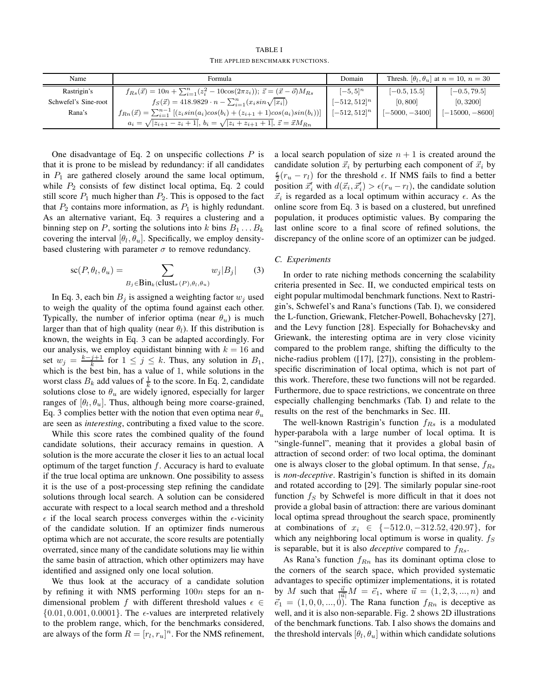TABLE I THE APPLIED BENCHMARK FUNCTIONS.

| Name                 | Formula                                                                                                    | Domain            | Thresh. $[\theta_l, \theta_u]$ at $n = 10$ , $n = 30$ |                   |  |  |  |
|----------------------|------------------------------------------------------------------------------------------------------------|-------------------|-------------------------------------------------------|-------------------|--|--|--|
| Rastrigin's          | $f_{Rs}(\vec{x}) = 10n + \sum_{i=1}^{n} (z_i^2 - 10\cos(2\pi z_i)); \ \vec{z} = (\vec{x} - \vec{o})M_{Rs}$ | $[-5,5]^{n}$      | $[-0.5, 15.5]$                                        | $[-0.5, 79.5]$    |  |  |  |
| Schwefel's Sine-root | $f_S(\vec{x}) = 418.9829 \cdot n - \sum_{i=1}^n (x_i \sin \sqrt{ x_i })$                                   | $[-512, 512]^{n}$ | [0, 800]                                              | [0, 3200]         |  |  |  |
| Rana's               | $f_{Rn}(\vec{x}) = \sum_{i=1}^{n-1} [(z_i sin(a_i) cos(b_i) + (z_{i+1} + 1) cos(a_i) sin(b_i))]$           | $[-512, 512]^{n}$ | $[-5000, -3400]$                                      | $[-15000, -8600]$ |  |  |  |
|                      | $a_i = \sqrt{ z_{i+1} - z_i + 1 }, b_i = \sqrt{ z_i + z_{i+1} + 1 }, \, \vec{z} = \vec{x} M_{Rn}$          |                   |                                                       |                   |  |  |  |

One disadvantage of Eq. 2 on unspecific collections  $P$  is that it is prone to be mislead by redundancy: if all candidates in  $P_1$  are gathered closely around the same local optimum, while  $P_2$  consists of few distinct local optima, Eq. 2 could still score  $P_1$  much higher than  $P_2$ . This is opposed to the fact that  $P_2$  contains more information, as  $P_1$  is highly redundant. As an alternative variant, Eq. 3 requires a clustering and a binning step on P, sorting the solutions into k bins  $B_1 \dots B_k$ covering the interval  $[\theta_l, \theta_u]$ . Specifically, we employ densitybased clustering with parameter  $\sigma$  to remove redundancy.

$$
sc(P, \theta_l, \theta_u) = \sum_{B_j \in \mathbf{Bin}_k(\mathbf{clust}_{\sigma}(P), \theta_l, \theta_u)} w_j |B_j| \qquad (3)
$$

In Eq. 3, each bin  $B_i$  is assigned a weighting factor  $w_i$  used to weigh the quality of the optima found against each other. Typically, the number of inferior optima (near  $\theta_u$ ) is much larger than that of high quality (near  $\theta_l$ ). If this distribution is known, the weights in Eq. 3 can be adapted accordingly. For our analysis, we employ equidistant binning with  $k = 16$  and set  $w_j = \frac{k-j+1}{k}$  for  $1 \leq j \leq k$ . Thus, any solution in  $B_1$ , which is the best bin, has a value of 1, while solutions in the worst class  $B_k$  add values of  $\frac{1}{k}$  to the score. In Eq. 2, candidate solutions close to  $\theta_u$  are widely ignored, especially for larger ranges of  $[\theta_l, \theta_u]$ . Thus, although being more coarse-grained, Eq. 3 complies better with the notion that even optima near  $\theta_u$ are seen as *interesting*, contributing a fixed value to the score.

While this score rates the combined quality of the found candidate solutions, their accuracy remains in question. A solution is the more accurate the closer it lies to an actual local optimum of the target function  $f$ . Accuracy is hard to evaluate if the true local optima are unknown. One possibility to assess it is the use of a post-processing step refining the candidate solutions through local search. A solution can be considered accurate with respect to a local search method and a threshold  $\epsilon$  if the local search process converges within the  $\epsilon$ -vicinity of the candidate solution. If an optimizer finds numerous optima which are not accurate, the score results are potentially overrated, since many of the candidate solutions may lie within the same basin of attraction, which other optimizers may have identified and assigned only one local solution.

We thus look at the accuracy of a candidate solution by refining it with NMS performing  $100n$  steps for an ndimensional problem f with different threshold values  $\epsilon \in$  $\{0.01, 0.001, 0.0001\}$ . The  $\epsilon$ -values are interpreted relatively to the problem range, which, for the benchmarks considered, are always of the form  $R = [r_l, r_u]^n$ . For the NMS refinement, a local search population of size  $n + 1$  is created around the candidate solution  $\vec{x}_i$  by perturbing each component of  $\vec{x}_i$  by  $\frac{\epsilon}{2}(r_u - r_l)$  for the threshold  $\epsilon$ . If NMS fails to find a better position  $\vec{x}'_i$  with  $d(\vec{x}_i, \vec{x}'_i) > \epsilon (r_u - r_l)$ , the candidate solution  $\vec{x}_i$  is regarded as a local optimum within accuracy  $\epsilon$ . As the online score from Eq. 3 is based on a clustered, but unrefined population, it produces optimistic values. By comparing the last online score to a final score of refined solutions, the discrepancy of the online score of an optimizer can be judged.

## *C. Experiments*

In order to rate niching methods concerning the scalability criteria presented in Sec. II, we conducted empirical tests on eight popular multimodal benchmark functions. Next to Rastrigin's, Schwefel's and Rana's functions (Tab. I), we considered the L-function, Griewank, Fletcher-Powell, Bohachevsky [27], and the Levy function [28]. Especially for Bohachevsky and Griewank, the interesting optima are in very close vicinity compared to the problem range, shifting the difficulty to the niche-radius problem ([17], [27]), consisting in the problemspecific discrimination of local optima, which is not part of this work. Therefore, these two functions will not be regarded. Furthermore, due to space restrictions, we concentrate on three especially challenging benchmarks (Tab. I) and relate to the results on the rest of the benchmarks in Sec. III.

The well-known Rastrigin's function  $f_{Rs}$  is a modulated hyper-parabola with a large number of local optima. It is "single-funnel", meaning that it provides a global basin of attraction of second order: of two local optima, the dominant one is always closer to the global optimum. In that sense,  $f_{Rs}$ is *non-deceptive*. Rastrigin's function is shifted in its domain and rotated according to [29]. The similarly popular sine-root function  $f_S$  by Schwefel is more difficult in that it does not provide a global basin of attraction: there are various dominant local optima spread throughout the search space, prominently at combinations of  $x_i \in \{-512.0, -312.52, 420.97\}$ , for which any neighboring local optimum is worse in quality.  $f_S$ is separable, but it is also *deceptive* compared to  $f_{Rs}$ .

As Rana's function  $f_{Rn}$  has its dominant optima close to the corners of the search space, which provided systematic advantages to specific optimizer implementations, it is rotated by M such that  $\frac{\vec{u}}{|\vec{u}|}M = \vec{e}_1$ , where  $\vec{u} = (1, 2, 3, ..., n)$  and  $\vec{e}_1 = (1, 0, 0, \dots, 0)$ . The Rana function  $f_{Rn}$  is deceptive as well, and it is also non-separable. Fig. 2 shows 2D illustrations of the benchmark functions. Tab. I also shows the domains and the threshold intervals  $[\theta_l, \theta_u]$  within which candidate solutions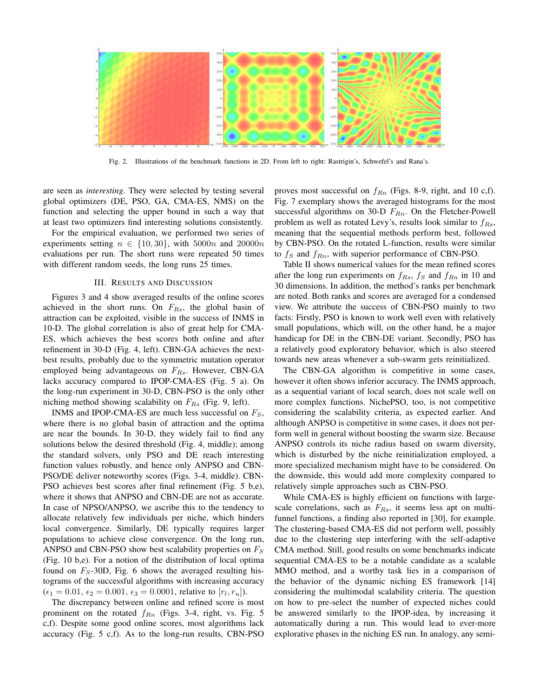

Fig. 2. Illustrations of the benchmark functions in 2D. From left to right: Rastrigin's, Schwefel's and Rana's.

are seen as *interesting*. They were selected by testing several global optimizers (DE, PSO, GA, CMA-ES, NMS) on the function and selecting the upper bound in such a way that at least two optimizers find interesting solutions consistently.

For the empirical evaluation, we performed two series of experiments setting  $n \in \{10, 30\}$ , with  $5000n$  and  $20000n$ evaluations per run. The short runs were repeated 50 times with different random seeds, the long runs 25 times.

## III. RESULTS AND DISCUSSION

Figures 3 and 4 show averaged results of the online scores achieved in the short runs. On  $F_{Rs}$ , the global basin of attraction can be exploited, visible in the success of INMS in 10-D. The global correlation is also of great help for CMA-ES, which achieves the best scores both online and after refinement in 30-D (Fig. 4, left). CBN-GA achieves the nextbest results, probably due to the symmetric mutation operator employed being advantageous on  $F_{Rs}$ . However, CBN-GA lacks accuracy compared to IPOP-CMA-ES (Fig. 5 a). On the long-run experiment in 30-D, CBN-PSO is the only other niching method showing scalability on  $F_{Rs}$  (Fig. 9, left).

INMS and IPOP-CMA-ES are much less successful on  $F<sub>S</sub>$ , where there is no global basin of attraction and the optima are near the bounds. In 30-D, they widely fail to find any solutions below the desired threshold (Fig. 4, middle); among the standard solvers, only PSO and DE reach interesting function values robustly, and hence only ANPSO and CBN-PSO/DE deliver noteworthy scores (Figs. 3-4, middle). CBN-PSO achieves best scores after final refinement (Fig. 5 b,e), where it shows that ANPSO and CBN-DE are not as accurate. In case of NPSO/ANPSO, we ascribe this to the tendency to allocate relatively few individuals per niche, which hinders local convergence. Similarly, DE typically requires larger populations to achieve close convergence. On the long run, ANPSO and CBN-PSO show best scalability properties on  $F_S$ (Fig. 10 b,e). For a notion of the distribution of local optima found on  $F_S$ -30D, Fig. 6 shows the averaged resulting histograms of the successful algorithms with increasing accuracy  $(\epsilon_1 = 0.01, \epsilon_2 = 0.001, \epsilon_3 = 0.0001, \text{ relative to } [r_l, r_u]).$ 

The discrepancy between online and refined score is most prominent on the rotated  $f_{Rn}$  (Figs. 3-4, right, vs. Fig. 5 c,f). Despite some good online scores, most algorithms lack accuracy (Fig. 5 c,f). As to the long-run results, CBN-PSO proves most successful on  $f_{Rn}$  (Figs. 8-9, right, and 10 c,f). Fig. 7 exemplary shows the averaged histograms for the most successful algorithms on 30-D  $F_{Rn}$ . On the Fletcher-Powell problem as well as rotated Levy's, results look similar to  $f_{Rs}$ , meaning that the sequential methods perform best, followed by CBN-PSO. On the rotated L-function, results were similar to  $f<sub>S</sub>$  and  $f<sub>Rn</sub>$ , with superior performance of CBN-PSO.

Table II shows numerical values for the mean refined scores after the long run experiments on  $f_{Rs}$ ,  $f_{S}$  and  $f_{Rn}$  in 10 and 30 dimensions. In addition, the method's ranks per benchmark are noted. Both ranks and scores are averaged for a condensed view. We attribute the success of CBN-PSO mainly to two facts: Firstly, PSO is known to work well even with relatively small populations, which will, on the other hand, be a major handicap for DE in the CBN-DE variant. Secondly, PSO has a relatively good exploratory behavior, which is also steered towards new areas whenever a sub-swarm gets reinitialized.

The CBN-GA algorithm is competitive in some cases, however it often shows inferior accuracy. The INMS approach, as a sequential variant of local search, does not scale well on more complex functions. NichePSO, too, is not competitive considering the scalability criteria, as expected earlier. And although ANPSO is competitive in some cases, it does not perform well in general without boosting the swarm size. Because ANPSO controls its niche radius based on swarm diversity, which is disturbed by the niche reinitialization employed, a more specialized mechanism might have to be considered. On the downside, this would add more complexity compared to relatively simple approaches such as CBN-PSO.

While CMA-ES is highly efficient on functions with largescale correlations, such as  $F_{Rs}$ , it seems less apt on multifunnel functions, a finding also reported in [30], for example. The clustering-based CMA-ES did not perform well, possibly due to the clustering step interfering with the self-adaptive CMA method. Still, good results on some benchmarks indicate sequential CMA-ES to be a notable candidate as a scalable MMO method, and a worthy task lies in a comparison of the behavior of the dynamic niching ES framework [14] considering the multimodal scalability criteria. The question on how to pre-select the number of expected niches could be answered similarly to the IPOP-idea, by increasing it automatically during a run. This would lead to ever-more explorative phases in the niching ES run. In analogy, any semi-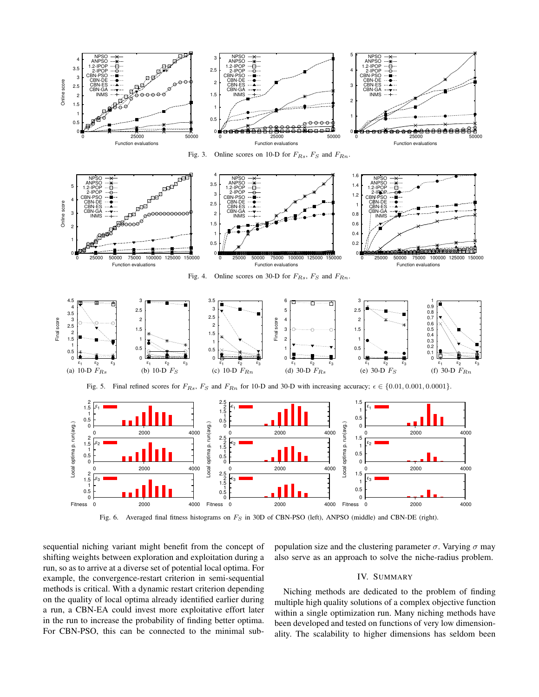

Fig. 6. Averaged final fitness histograms on  $F_S$  in 30D of CBN-PSO (left), ANPSO (middle) and CBN-DE (right).

sequential niching variant might benefit from the concept of shifting weights between exploration and exploitation during a run, so as to arrive at a diverse set of potential local optima. For example, the convergence-restart criterion in semi-sequential methods is critical. With a dynamic restart criterion depending on the quality of local optima already identified earlier during a run, a CBN-EA could invest more exploitative effort later in the run to increase the probability of finding better optima. For CBN-PSO, this can be connected to the minimal subpopulation size and the clustering parameter  $\sigma$ . Varying  $\sigma$  may also serve as an approach to solve the niche-radius problem.

## IV. SUMMARY

Niching methods are dedicated to the problem of finding multiple high quality solutions of a complex objective function within a single optimization run. Many niching methods have been developed and tested on functions of very low dimensionality. The scalability to higher dimensions has seldom been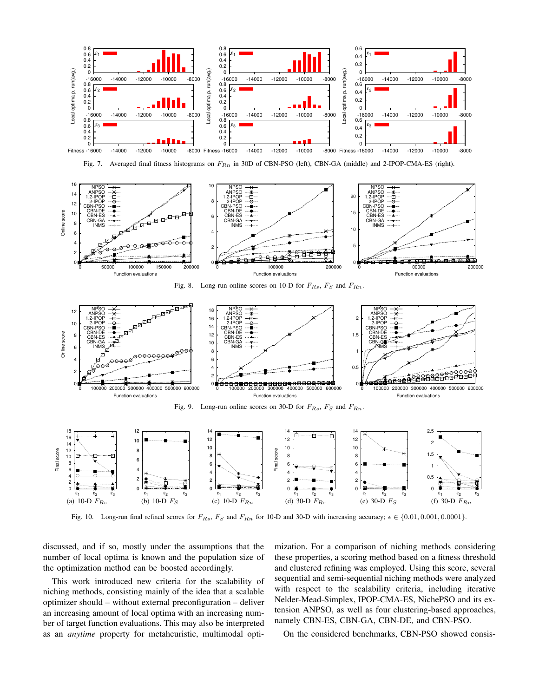

Fig. 7. Averaged final fitness histograms on  $F_{Rn}$  in 30D of CBN-PSO (left), CBN-GA (middle) and 2-IPOP-CMA-ES (right).



Function evaluations

Fig. 9. Long-run online scores on 30-D for  $F_{Rs}$ ,  $F_S$  and  $F_{Rn}$ .



Fig. 10. Long-run final refined scores for  $F_{Rs}$ ,  $F_S$  and  $F_{Rn}$  for 10-D and 30-D with increasing accuracy;  $\epsilon \in \{0.01, 0.001, 0.0001\}$ .

discussed, and if so, mostly under the assumptions that the number of local optima is known and the population size of the optimization method can be boosted accordingly.

Function evaluations

This work introduced new criteria for the scalability of niching methods, consisting mainly of the idea that a scalable optimizer should – without external preconfiguration – deliver an increasing amount of local optima with an increasing number of target function evaluations. This may also be interpreted as an *anytime* property for metaheuristic, multimodal opti-

mization. For a comparison of niching methods considering these properties, a scoring method based on a fitness threshold and clustered refining was employed. Using this score, several sequential and semi-sequential niching methods were analyzed with respect to the scalability criteria, including iterative Nelder-Mead-Simplex, IPOP-CMA-ES, NichePSO and its extension ANPSO, as well as four clustering-based approaches, namely CBN-ES, CBN-GA, CBN-DE, and CBN-PSO.

Function evaluations

On the considered benchmarks, CBN-PSO showed consis-